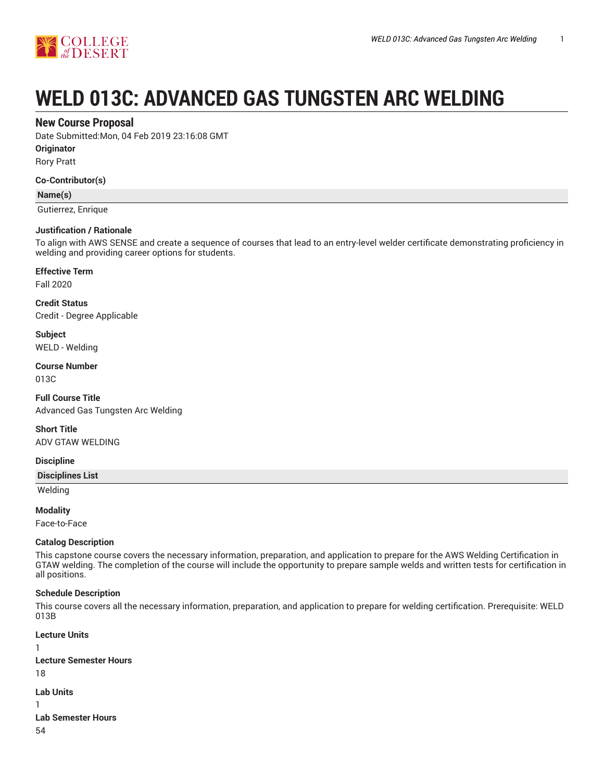

# **WELD 013C: ADVANCED GAS TUNGSTEN ARC WELDING**

# **New Course Proposal**

Date Submitted:Mon, 04 Feb 2019 23:16:08 GMT

**Originator**

Rory Pratt

#### **Co-Contributor(s)**

**Name(s)**

Gutierrez, Enrique

#### **Justification / Rationale**

To align with AWS SENSE and create a sequence of courses that lead to an entry-level welder certificate demonstrating proficiency in welding and providing career options for students.

#### **Effective Term**

Fall 2020

**Credit Status** Credit - Degree Applicable

**Subject** WELD - Welding

#### **Course Number**

013C

**Full Course Title** Advanced Gas Tungsten Arc Welding

**Short Title** ADV GTAW WELDING

#### **Discipline**

**Disciplines List**

Welding

**Modality**

Face-to-Face

#### **Catalog Description**

This capstone course covers the necessary information, preparation, and application to prepare for the AWS Welding Certification in GTAW welding. The completion of the course will include the opportunity to prepare sample welds and written tests for certification in all positions.

#### **Schedule Description**

This course covers all the necessary information, preparation, and application to prepare for welding certification. Prerequisite: WELD 013B

```
Lecture Units
1
Lecture Semester Hours
18
Lab Units
1
Lab Semester Hours
54
```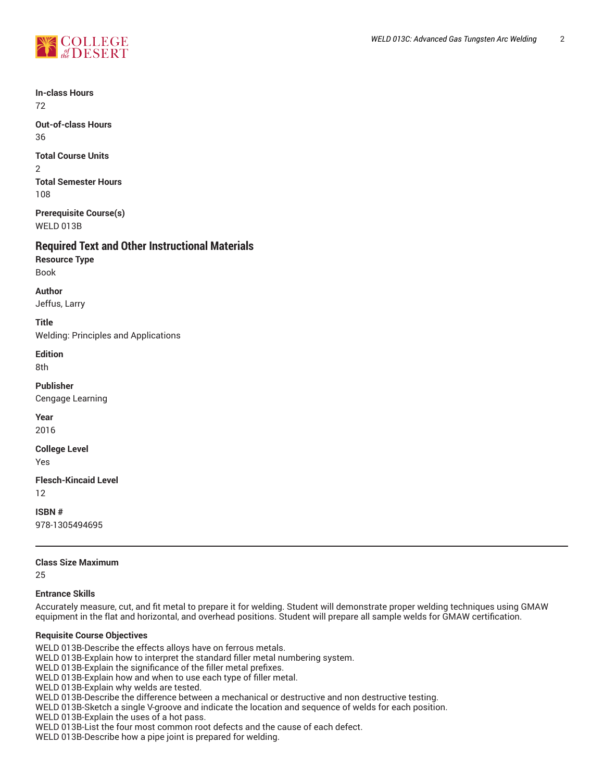

**In-class Hours** 72

**Out-of-class Hours** 36

**Total Course Units** 2 **Total Semester Hours** 108

**Prerequisite Course(s)** WELD 013B

# **Required Text and Other Instructional Materials**

**Resource Type** Book

**Author**

Jeffus, Larry

**Title** Welding: Principles and Applications

**Edition**

8th

**Publisher**

Cengage Learning

**Year** 2016

**College Level**

Yes

**Flesch-Kincaid Level** 12

**ISBN #** 978-1305494695

## **Class Size Maximum**

25

## **Entrance Skills**

Accurately measure, cut, and fit metal to prepare it for welding. Student will demonstrate proper welding techniques using GMAW equipment in the flat and horizontal, and overhead positions. Student will prepare all sample welds for GMAW certification.

## **Requisite Course Objectives**

WELD 013B-Describe the effects alloys have on ferrous metals.

WELD 013B-Explain how to interpret the standard filler metal numbering system.

WELD 013B-Explain the significance of the filler metal prefixes.

WELD 013B-Explain how and when to use each type of filler metal.

WELD 013B-Explain why welds are tested.

WELD 013B-Describe the difference between a mechanical or destructive and non destructive testing.

WELD 013B-Sketch a single V-groove and indicate the location and sequence of welds for each position.

WELD 013B-Explain the uses of a hot pass.

WELD 013B-List the four most common root defects and the cause of each defect.

WELD 013B-Describe how a pipe joint is prepared for welding.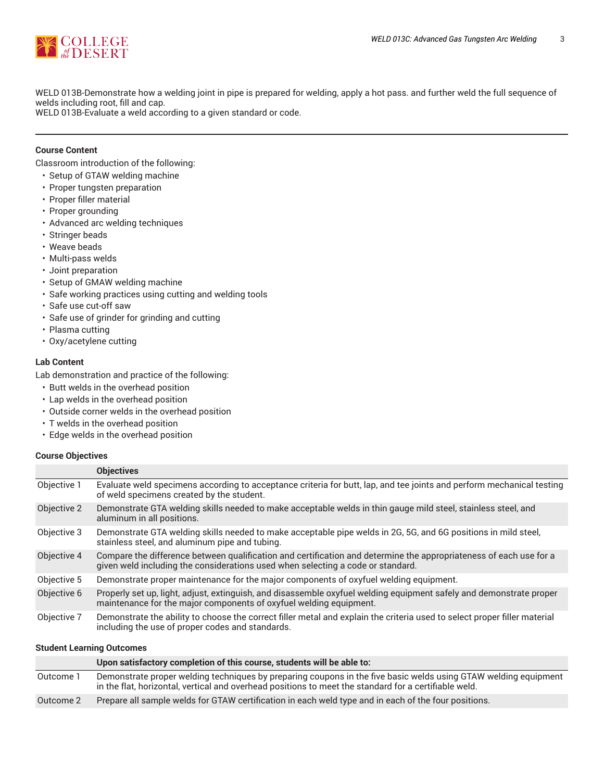

WELD 013B-Demonstrate how a welding joint in pipe is prepared for welding, apply a hot pass. and further weld the full sequence of welds including root, fill and cap.

WELD 013B-Evaluate a weld according to a given standard or code.

### **Course Content**

Classroom introduction of the following:

- Setup of GTAW welding machine
- Proper tungsten preparation
- Proper filler material
- Proper grounding
- Advanced arc welding techniques
- Stringer beads
- Weave beads
- Multi-pass welds
- Joint preparation
- Setup of GMAW welding machine
- Safe working practices using cutting and welding tools
- Safe use cut-off saw
- Safe use of grinder for grinding and cutting
- Plasma cutting
- Oxy/acetylene cutting

#### **Lab Content**

Lab demonstration and practice of the following:

- Butt welds in the overhead position
- Lap welds in the overhead position
- Outside corner welds in the overhead position
- T welds in the overhead position
- Edge welds in the overhead position

#### **Course Objectives**

|             | <b>Objectives</b>                                                                                                                                                                                     |
|-------------|-------------------------------------------------------------------------------------------------------------------------------------------------------------------------------------------------------|
| Objective 1 | Evaluate weld specimens according to acceptance criteria for butt, lap, and tee joints and perform mechanical testing<br>of weld specimens created by the student.                                    |
| Objective 2 | Demonstrate GTA welding skills needed to make acceptable welds in thin gauge mild steel, stainless steel, and<br>aluminum in all positions.                                                           |
| Objective 3 | Demonstrate GTA welding skills needed to make acceptable pipe welds in 2G, 5G, and 6G positions in mild steel,<br>stainless steel, and aluminum pipe and tubing.                                      |
| Objective 4 | Compare the difference between qualification and certification and determine the appropriateness of each use for a<br>given weld including the considerations used when selecting a code or standard. |
| Objective 5 | Demonstrate proper maintenance for the major components of oxyfuel welding equipment.                                                                                                                 |
| Objective 6 | Properly set up, light, adjust, extinguish, and disassemble oxyfuel welding equipment safely and demonstrate proper<br>maintenance for the major components of oxyfuel welding equipment.             |
| Objective 7 | Demonstrate the ability to choose the correct filler metal and explain the criteria used to select proper filler material<br>including the use of proper codes and standards.                         |

#### **Student Learning Outcomes**

|           | Upon satisfactory completion of this course, students will be able to:                                                                                                                                                   |
|-----------|--------------------------------------------------------------------------------------------------------------------------------------------------------------------------------------------------------------------------|
| Outcome 1 | Demonstrate proper welding techniques by preparing coupons in the five basic welds using GTAW welding equipment<br>in the flat, horizontal, vertical and overhead positions to meet the standard for a certifiable weld. |
| Outcome 2 | Prepare all sample welds for GTAW certification in each weld type and in each of the four positions.                                                                                                                     |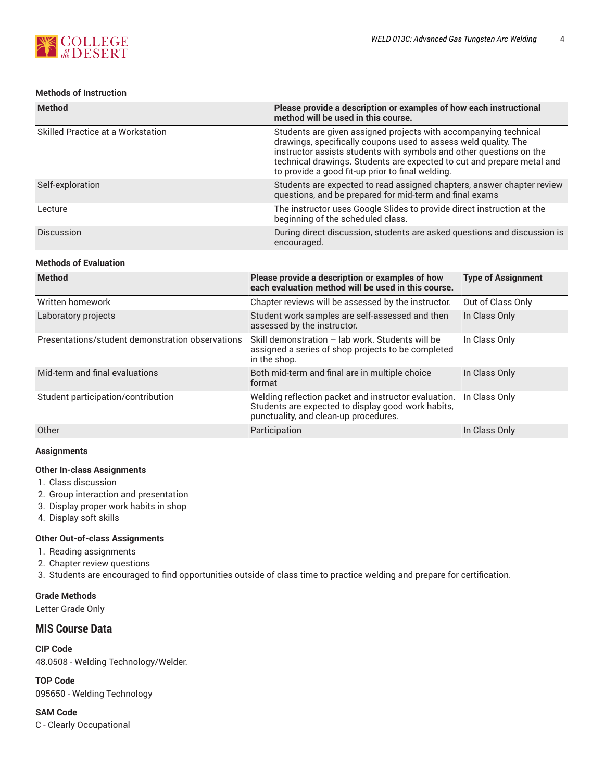

## **Methods of Instruction**

| <b>Method</b>                     | Please provide a description or examples of how each instructional<br>method will be used in this course.                                                                                                                                                                                                                                |
|-----------------------------------|------------------------------------------------------------------------------------------------------------------------------------------------------------------------------------------------------------------------------------------------------------------------------------------------------------------------------------------|
| Skilled Practice at a Workstation | Students are given assigned projects with accompanying technical<br>drawings, specifically coupons used to assess weld quality. The<br>instructor assists students with symbols and other questions on the<br>technical drawings. Students are expected to cut and prepare metal and<br>to provide a good fit-up prior to final welding. |
| Self-exploration                  | Students are expected to read assigned chapters, answer chapter review<br>questions, and be prepared for mid-term and final exams                                                                                                                                                                                                        |
| Lecture                           | The instructor uses Google Slides to provide direct instruction at the<br>beginning of the scheduled class.                                                                                                                                                                                                                              |
| Discussion                        | During direct discussion, students are asked questions and discussion is<br>encouraged.                                                                                                                                                                                                                                                  |
| <b>Methods of Evaluation</b>      |                                                                                                                                                                                                                                                                                                                                          |

| <b>Method</b>                                    | Please provide a description or examples of how<br>each evaluation method will be used in this course.                                              | <b>Type of Assignment</b> |
|--------------------------------------------------|-----------------------------------------------------------------------------------------------------------------------------------------------------|---------------------------|
| Written homework                                 | Chapter reviews will be assessed by the instructor.                                                                                                 | Out of Class Only         |
| Laboratory projects                              | Student work samples are self-assessed and then<br>assessed by the instructor.                                                                      | In Class Only             |
| Presentations/student demonstration observations | Skill demonstration - lab work. Students will be<br>assigned a series of shop projects to be completed<br>in the shop.                              | In Class Only             |
| Mid-term and final evaluations                   | Both mid-term and final are in multiple choice<br>format                                                                                            | In Class Only             |
| Student participation/contribution               | Welding reflection packet and instructor evaluation.<br>Students are expected to display good work habits,<br>punctuality, and clean-up procedures. | In Class Only             |
| Other                                            | Participation                                                                                                                                       | In Class Only             |

## **Assignments**

#### **Other In-class Assignments**

- 1. Class discussion
- 2. Group interaction and presentation
- 3. Display proper work habits in shop
- 4. Display soft skills

#### **Other Out-of-class Assignments**

- 1. Reading assignments
- 2. Chapter review questions

3. Students are encouraged to find opportunities outside of class time to practice welding and prepare for certification.

### **Grade Methods**

Letter Grade Only

# **MIS Course Data**

**CIP Code** 48.0508 - Welding Technology/Welder.

**TOP Code** 095650 - Welding Technology

**SAM Code** C - Clearly Occupational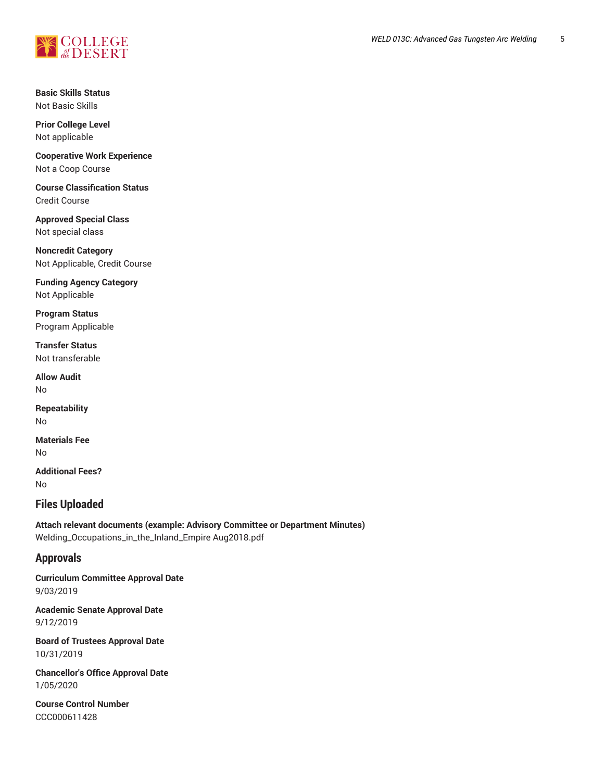

**Basic Skills Status** Not Basic Skills

**Prior College Level** Not applicable

**Cooperative Work Experience** Not a Coop Course

**Course Classification Status** Credit Course

**Approved Special Class** Not special class

**Noncredit Category** Not Applicable, Credit Course

**Funding Agency Category** Not Applicable

**Program Status** Program Applicable

**Transfer Status** Not transferable

**Allow Audit** No

**Repeatability** No

**Materials Fee** No

**Additional Fees?** No

# **Files Uploaded**

**Attach relevant documents (example: Advisory Committee or Department Minutes)** Welding\_Occupations\_in\_the\_Inland\_Empire Aug2018.pdf

# **Approvals**

**Curriculum Committee Approval Date** 9/03/2019

**Academic Senate Approval Date** 9/12/2019

**Board of Trustees Approval Date** 10/31/2019

**Chancellor's Office Approval Date** 1/05/2020

**Course Control Number** CCC000611428